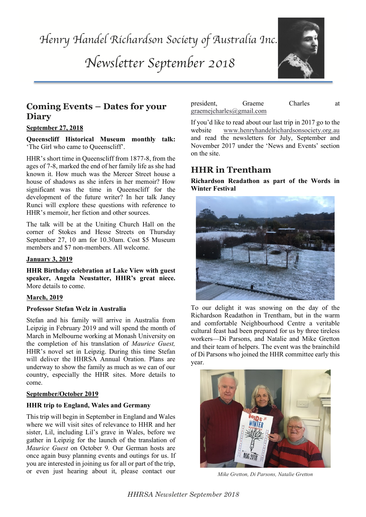*Henry Handel Richardson Society of Australia Inc.* 

*Newsletter September 2018*



# **Coming Events – Dates for your Diary**

### **September 27, 2018**

**Queenscliff Historical Museum monthly talk:** 'The Girl who came to Queenscliff'.

HHR's memoir, her fiction and other sources. HHR's short time in Queenscliff from 1877-8, from the ages of 7-8, marked the end of her family life as she had known it. How much was the Mercer Street house a house of shadows as she infers in her memoir? How significant was the time in Queenscliff for the development of the future writer? In her talk Janey Runci will explore these questions with reference to

The talk will be at the Uniting Church Hall on the corner of Stokes and Hesse Streets on Thursday September 27, 10 am for 10.30am. Cost \$5 Museum members and \$7 non-members. All welcome.

### **January 3, 2019**

**HHR Birthday celebration at Lake View with guest speaker, Angela Neustatter, HHR's great niece.** More details to come.

### **March, 2019**

### **Professor Stefan Welz in Australia**

Stefan and his family will arrive in Australia from Leipzig in February 2019 and will spend the month of March in Melbourne working at Monash University on the completion of his translation of *Maurice Guest,*  HHR's novel set in Leipzig. During this time Stefan will deliver the HHRSA Annual Oration. Plans are underway to show the family as much as we can of our country, especially the HHR sites. More details to come.

### **September/October 2019**

### **HHR trip to England, Wales and Germany**

This trip will begin in September in England and Wales where we will visit sites of relevance to HHR and her sister, Lil, including Lil's grave in Wales, before we gather in Leipzig for the launch of the translation of *Maurice Guest* on October 9*.* Our German hosts are once again busy planning events and outings for us. If you are interested in joining us for all or part of the trip, or even just hearing about it, please contact our

| president, | Graeme                   | Charles | at |
|------------|--------------------------|---------|----|
|            | graemejcharles@gmail.com |         |    |

If you'd like to read about our last trip in 2017 go to the website www.henryhandelrichardsonsociety.org.au and read the newsletters for July, September and November 2017 under the 'News and Events' section on the site.

# **HHR in Trentham**

**Richardson Readathon as part of the Words in Winter Festival**



To our delight it was snowing on the day of the Richardson Readathon in Trentham, but in the warm and comfortable Neighbourhood Centre a veritable cultural feast had been prepared for us by three tireless workers—Di Parsons, and Natalie and Mike Gretton and their team of helpers. The event was the brainchild of Di Parsons who joined the HHR committee early this year.



*Mike Gretton, Di Parsons, Natalie Gretton*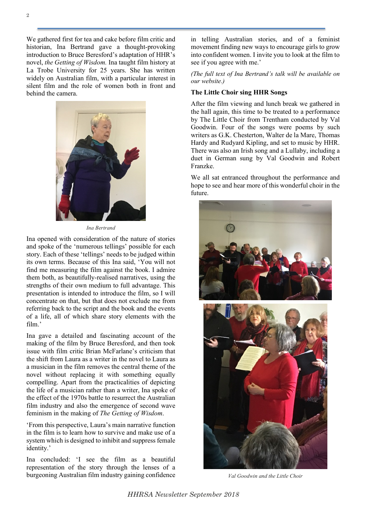We gathered first for tea and cake before film critic and historian, Ina Bertrand gave a thought-provoking introduction to Bruce Beresford's adaptation of HHR's novel, *the Getting of Wisdom.* Ina taught film history at La Trobe University for 25 years. She has written widely on Australian film, with a particular interest in silent film and the role of women both in front and behind the camera.



*Ina Bertrand*

Ina opened with consideration of the nature of stories and spoke of the 'numerous tellings' possible for each story. Each of these 'tellings' needs to be judged within its own terms. Because of this Ina said, 'You will not find me measuring the film against the book. I admire them both, as beautifully-realised narratives, using the strengths of their own medium to full advantage. This presentation is intended to introduce the film, so I will concentrate on that, but that does not exclude me from referring back to the script and the book and the events of a life, all of which share story elements with the film.'

Ina gave a detailed and fascinating account of the making of the film by Bruce Beresford, and then took issue with film critic Brian McFarlane's criticism that the shift from Laura as a writer in the novel to Laura as a musician in the film removes the central theme of the novel without replacing it with something equally compelling. Apart from the practicalities of depicting the life of a musician rather than a writer, Ina spoke of the effect of the 1970s battle to resurrect the Australian film industry and also the emergence of second wave feminism in the making of *The Getting of Wisdom*.

'From this perspective, Laura's main narrative function in the film is to learn how to survive and make use of a system which is designed to inhibit and suppress female identity.'

Ina concluded: 'I see the film as a beautiful representation of the story through the lenses of a burgeoning Australian film industry gaining confidence

in telling Australian stories, and of a feminist movement finding new ways to encourage girls to grow into confident women. I invite you to look at the film to see if you agree with me.'

*(The full text of Ina Bertrand's talk will be available on our website.)*

### **The Little Choir sing HHR Songs**

After the film viewing and lunch break we gathered in the hall again, this time to be treated to a performance by The Little Choir from Trentham conducted by Val Goodwin. Four of the songs were poems by such writers as G.K. Chesterton, Walter de la Mare, Thomas Hardy and Rudyard Kipling, and set to music by HHR. There was also an Irish song and a Lullaby, including a duet in German sung by Val Goodwin and Robert Franzke.

We all sat entranced throughout the performance and hope to see and hear more of this wonderful choir in the future.



*Val Goodwin and the Little Choir*

*HHRSA Newsletter September 2018*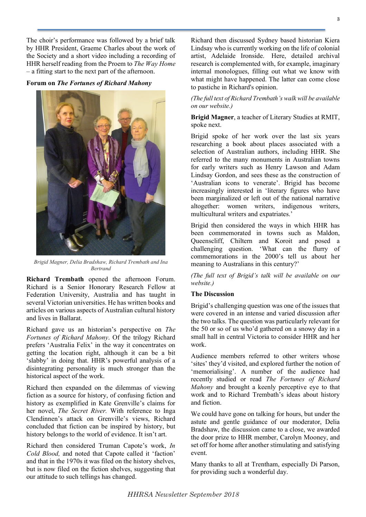The choir's performance was followed by a brief talk by HHR President, Graeme Charles about the work of the Society and a short video including a recording of HHR herself reading from the Proem to *The Way Home* – a fitting start to the next part of the afternoon.

### **Forum on** *The Fortunes of Richard Mahony*



*Brigid Magner, Delia Bradshaw, Richard Trembath and Ina Bertrand*

**Richard Trembath** opened the afternoon Forum. Richard is a Senior Honorary Research Fellow at Federation University, Australia and has taught in several Victorian universities. He has written books and articles on various aspects of Australian cultural history and lives in Ballarat.

Richard gave us an historian's perspective on *The Fortunes of Richard Mahony*. Of the trilogy Richard prefers 'Australia Felix' in the way it concentrates on getting the location right, although it can be a bit 'slabby' in doing that. HHR's powerful analysis of a disintegrating personality is much stronger than the historical aspect of the work.

Richard then expanded on the dilemmas of viewing fiction as a source for history, of confusing fiction and history as exemplified in Kate Grenville's claims for her novel, *The Secret River.* With reference to Inga Clendinnen's attack on Grenville's views, Richard concluded that fiction can be inspired by history, but history belongs to the world of evidence. It isn't art.

Richard then considered Truman Capote's work, *In Cold Blood,* and noted that Capote called it 'faction' and that in the 1970s it was filed on the history shelves, but is now filed on the fiction shelves, suggesting that our attitude to such tellings has changed.

Richard then discussed Sydney based historian Kiera Lindsay who is currently working on the life of colonial artist, Adelaide Ironside. Here, detailed archival research is complemented with, for example, imaginary internal monologues, filling out what we know with what might have happened. The latter can come close to pastiche in Richard's opinion.

### *(The full text of Richard Trembath's walk will be available on our website.)*

### **Brigid Magner**, a teacher of Literary Studies at RMIT, spoke next.

Brigid spoke of her work over the last six years researching a book about places associated with a selection of Australian authors, including HHR. She referred to the many monuments in Australian towns for early writers such as Henry Lawson and Adam Lindsay Gordon, and sees these as the construction of 'Australian icons to venerate'. Brigid has become increasingly interested in 'literary figures who have been marginalized or left out of the national narrative altogether: women writers, indigenous writers, multicultural writers and expatriates.'

Brigid then considered the ways in which HHR has been commemorated in towns such as Maldon, Queenscliff, Chiltern and Koroit and posed a challenging question. 'What can the flurry of commemorations in the 2000's tell us about her meaning to Australians in this century?'

*(The full text of Brigid's talk will be available on our website.)*

### **The Discussion**

Brigid's challenging question was one of the issues that were covered in an intense and varied discussion after the two talks. The question was particularly relevant for the 50 or so of us who'd gathered on a snowy day in a small hall in central Victoria to consider HHR and her work.

Audience members referred to other writers whose 'sites' they'd visited, and explored further the notion of 'memorialising'. A number of the audience had recently studied or read *The Fortunes of Richard Mahony* and brought a keenly perceptive eye to that work and to Richard Trembath's ideas about history and fiction.

We could have gone on talking for hours, but under the astute and gentle guidance of our moderator, Delia Bradshaw, the discussion came to a close, we awarded the door prize to HHR member, Carolyn Mooney, and set off for home after another stimulating and satisfying event.

Many thanks to all at Trentham, especially Di Parson, for providing such a wonderful day.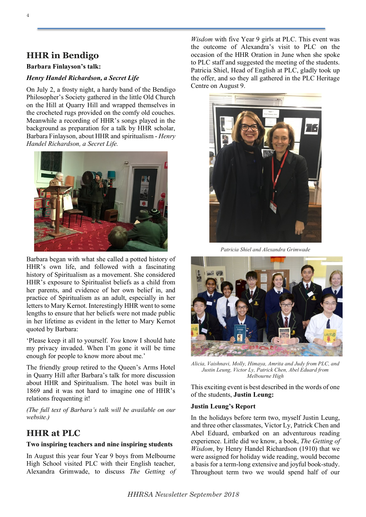# **HHR in Bendigo**

## **Barbara Finlayson's talk:**

## *Henry Handel Richardson, a Secret Life*

On July 2, a frosty night, a hardy band of the Bendigo Philosopher's Society gathered in the little Old Church on the Hill at Quarry Hill and wrapped themselves in the crocheted rugs provided on the comfy old couches. Meanwhile a recording of HHR's songs played in the background as preparation for a talk by HHR scholar, Barbara Finlayson, about HHR and spiritualism - *Henry Handel Richardson, a Secret Life.* 



Barbara began with what she called a potted history of HHR's own life, and followed with a fascinating history of Spiritualism as a movement. She considered HHR's exposure to Spiritualist beliefs as a child from her parents, and evidence of her own belief in, and practice of Spiritualism as an adult, especially in her letters to Mary Kernot. Interestingly HHR went to some lengths to ensure that her beliefs were not made public in her lifetime as evident in the letter to Mary Kernot quoted by Barbara:

'Please keep it all to yourself. *You* know I should hate my privacy invaded. When I'm gone it will be time enough for people to know more about me.'

The friendly group retired to the Queen's Arms Hotel in Quarry Hill after Barbara's talk for more discussion about HHR and Spiritualism. The hotel was built in 1869 and it was not hard to imagine one of HHR's relations frequenting it!

*(The full text of Barbara's talk will be available on our website.)*

# **HHR at PLC**

### **Two inspiring teachers and nine inspiring students**

In August this year four Year 9 boys from Melbourne High School visited PLC with their English teacher, Alexandra Grimwade, to discuss *The Getting of* 

*Wisdom* with five Year 9 girls at PLC. This event was the outcome of Alexandra's visit to PLC on the occasion of the HHR Oration in June when she spoke to PLC staff and suggested the meeting of the students. Patricia Shiel, Head of English at PLC, gladly took up the offer, and so they all gathered in the PLC Heritage Centre on August 9.



*Patricia Shiel and Alexandra Grimwade*



*Alicia, Vaishnavi, Molly, Himaya, Amrita and Judy from PLC, and Justin Leung, Victor Ly, Patrick Chen, Abel Eduard from Melbourne High*

This exciting event is best described in the words of one of the students, **Justin Leung:**

### **Justin Leung's Report**

In the holidays before term two, myself Justin Leung, and three other classmates, Victor Ly, Patrick Chen and Abel Eduard, embarked on an adventurous reading experience. Little did we know, a book, *The Getting of Wisdom*, by Henry Handel Richardson (1910) that we were assigned for holiday wide reading, would become a basis for a term-long extensive and joyful book-study. Throughout term two we would spend half of our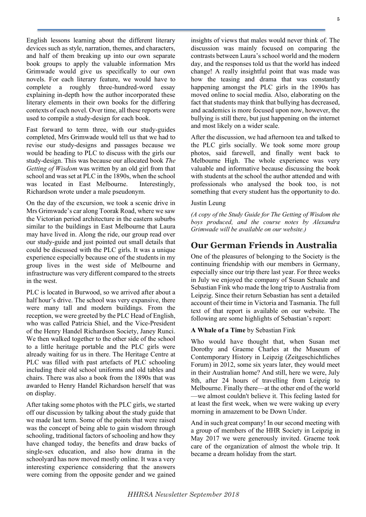English lessons learning about the different literary devices such as style, narration, themes, and characters, and half of them breaking up into our own separate book groups to apply the valuable information Mrs Grimwade would give us specifically to our own novels. For each literary feature, we would have to complete a roughly three-hundred-word essay explaining in-depth how the author incorporated these literary elements in their own books for the differing contexts of each novel. Over time, all these reports were used to compile a study-design for each book.

Fast forward to term three, with our study-guides completed, Mrs Grimwade would tell us that we had to revise our study-designs and passages because we would be heading to PLC to discuss with the girls our study-design. This was because our allocated book *The Getting of Wisdom* was written by an old girl from that school and was set at PLC in the 1890s, when the school was located in East Melbourne. Interestingly, Richardson wrote under a male pseudonym.

On the day of the excursion, we took a scenic drive in Mrs Grimwade's car along Toorak Road, where we saw the Victorian period architecture in the eastern suburbs similar to the buildings in East Melbourne that Laura may have lived in. Along the ride, our group read over our study-guide and just pointed out small details that could be discussed with the PLC girls. It was a unique experience especially because one of the students in my group lives in the west side of Melbourne and infrastructure was very different compared to the streets in the west.

PLC is located in Burwood, so we arrived after about a half hour's drive. The school was very expansive, there were many tall and modern buildings. From the reception, we were greeted by the PLC Head of English, who was called Patricia Shiel, and the Vice-President of the Henry Handel Richardson Society, Janey Runci. We then walked together to the other side of the school to a little heritage portable and the PLC girls were already waiting for us in there. The Heritage Centre at PLC was filled with past artefacts of PLC schooling including their old school uniforms and old tables and chairs. There was also a book from the 1890s that was awarded to Henry Handel Richardson herself that was on display.

After taking some photos with the PLC girls, we started off our discussion by talking about the study guide that we made last term. Some of the points that were raised was the concept of being able to gain wisdom through schooling, traditional factors of schooling and how they have changed today, the benefits and draw backs of single-sex education, and also how drama in the schoolyard has now moved mostly online. It was a very interesting experience considering that the answers were coming from the opposite gender and we gained

insights of views that males would never think of. The discussion was mainly focused on comparing the contrasts between Laura's school world and the modern day, and the responses told us that the world has indeed change! A really insightful point that was made was how the teasing and drama that was constantly happening amongst the PLC girls in the 1890s has moved online to social media. Also, elaborating on the fact that students may think that bullying has decreased, and academics is more focused upon now, however, the bullying is still there, but just happening on the internet and most likely on a wider scale.

After the discussion, we had afternoon tea and talked to the PLC girls socially. We took some more group photos, said farewell, and finally went back to Melbourne High. The whole experience was very valuable and informative because discussing the book with students at the school the author attended and with professionals who analysed the book too, is not something that every student has the opportunity to do.

### Justin Leung

*(A copy of the Study Guide for The Getting of Wisdom the boys produced, and the course notes by Alexandra Grimwade will be available on our website.)*

## **Our German Friends in Australia**

One of the pleasures of belonging to the Society is the continuing friendship with our members in Germany, especially since our trip there last year. For three weeks in July we enjoyed the company of Susan Schaale and Sebastian Fink who made the long trip to Australia from Leipzig. Since their return Sebastian has sent a detailed account of their time in Victoria and Tasmania. The full text of that report is available on our website. The following are some highlights of Sebastian's report:

#### **A Whale of a Time** by Sebastian Fink

Who would have thought that, when Susan met Dorothy and Graeme Charles at the Museum of Contemporary History in Leipzig (Zeitgeschichtliches Forum) in 2012, some six years later, they would meet in their Australian home? And still, here we were, July 8th, after 24 hours of travelling from Leipzig to Melbourne. Finally there—at the other end of the world —we almost couldn't believe it. This feeling lasted for at least the first week, when we were waking up every morning in amazement to be Down Under.

And in such great company! In our second meeting with a group of members of the HHR Society in Leipzig in May 2017 we were generously invited. Graeme took care of the organization of almost the whole trip. It became a dream holiday from the start.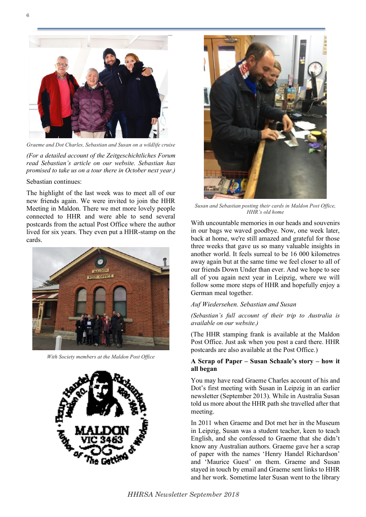

*Graeme and Dot Charles, Sebastian and Susan on a wildlife cruise*

*(For a detailed account of the Zeitgeschichtliches Forum read Sebastian's article on our website. Sebastian has promised to take us on a tour there in October next year.)*

Sebastian continues:

The highlight of the last week was to meet all of our new friends again. We were invited to join the HHR Meeting in Maldon. There we met more lovely people connected to HHR and were able to send several postcards from the actual Post Office where the author lived for six years. They even put a HHR-stamp on the cards.



*With Society members at the Maldon Post Office*





*Susan and Sebastian posting their cards in Maldon Post Office, HHR's old home*

With uncountable memories in our heads and souvenirs in our bags we waved goodbye. Now, one week later, back at home, we're still amazed and grateful for those three weeks that gave us so many valuable insights in another world. It feels surreal to be 16 000 kilometres away again but at the same time we feel closer to all of our friends Down Under than ever. And we hope to see all of you again next year in Leipzig, where we will follow some more steps of HHR and hopefully enjoy a German meal together.

#### *Auf Wiedersehen. Sebastian and Susan*

*(Sebastian's full account of their trip to Australia is available on our website.)*

(The HHR stamping frank is available at the Maldon Post Office. Just ask when you post a card there. HHR postcards are also available at the Post Office.)

### **A Scrap of Paper – Susan Schaale's story – how it all began**

You may have read Graeme Charles account of his and Dot's first meeting with Susan in Leipzig in an earlier newsletter (September 2013). While in Australia Susan told us more about the HHR path she travelled after that meeting.

In 2011 when Graeme and Dot met her in the Museum in Leipzig, Susan was a student teacher, keen to teach English, and she confessed to Graeme that she didn't know any Australian authors. Graeme gave her a scrap of paper with the names 'Henry Handel Richardson' and 'Maurice Guest' on them. Graeme and Susan stayed in touch by email and Graeme sent links to HHR and her work. Sometime later Susan went to the library